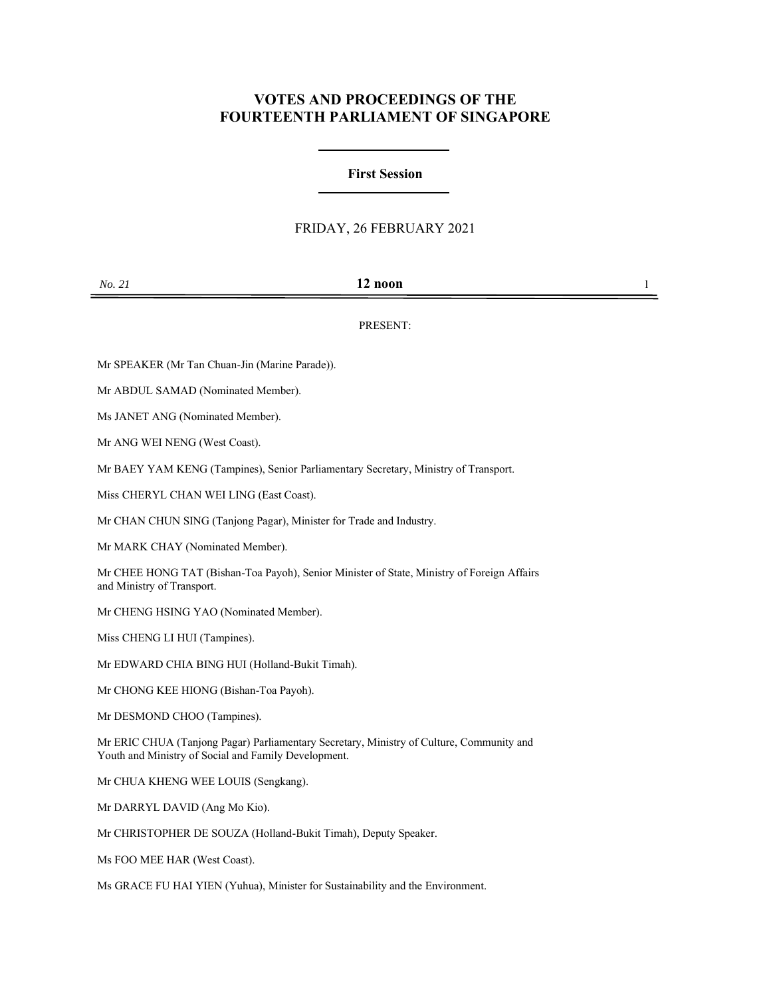# **VOTES AND PROCEEDINGS OF THE FOURTEENTH PARLIAMENT OF SINGAPORE**

## **First Session**

### FRIDAY, 26 FEBRUARY 2021

### PRESENT:

Mr SPEAKER (Mr Tan Chuan-Jin (Marine Parade)).

Mr ABDUL SAMAD (Nominated Member).

Ms JANET ANG (Nominated Member).

Mr ANG WEI NENG (West Coast).

Mr BAEY YAM KENG (Tampines), Senior Parliamentary Secretary, Ministry of Transport.

Miss CHERYL CHAN WEI LING (East Coast).

Mr CHAN CHUN SING (Tanjong Pagar), Minister for Trade and Industry.

Mr MARK CHAY (Nominated Member).

Mr CHEE HONG TAT (Bishan-Toa Payoh), Senior Minister of State, Ministry of Foreign Affairs and Ministry of Transport.

Mr CHENG HSING YAO (Nominated Member).

Miss CHENG LI HUI (Tampines).

Mr EDWARD CHIA BING HUI (Holland-Bukit Timah).

Mr CHONG KEE HIONG (Bishan-Toa Payoh).

Mr DESMOND CHOO (Tampines).

Mr ERIC CHUA (Tanjong Pagar) Parliamentary Secretary, Ministry of Culture, Community and Youth and Ministry of Social and Family Development.

Mr CHUA KHENG WEE LOUIS (Sengkang).

Mr DARRYL DAVID (Ang Mo Kio).

Mr CHRISTOPHER DE SOUZA (Holland-Bukit Timah), Deputy Speaker.

Ms FOO MEE HAR (West Coast).

Ms GRACE FU HAI YIEN (Yuhua), Minister for Sustainability and the Environment.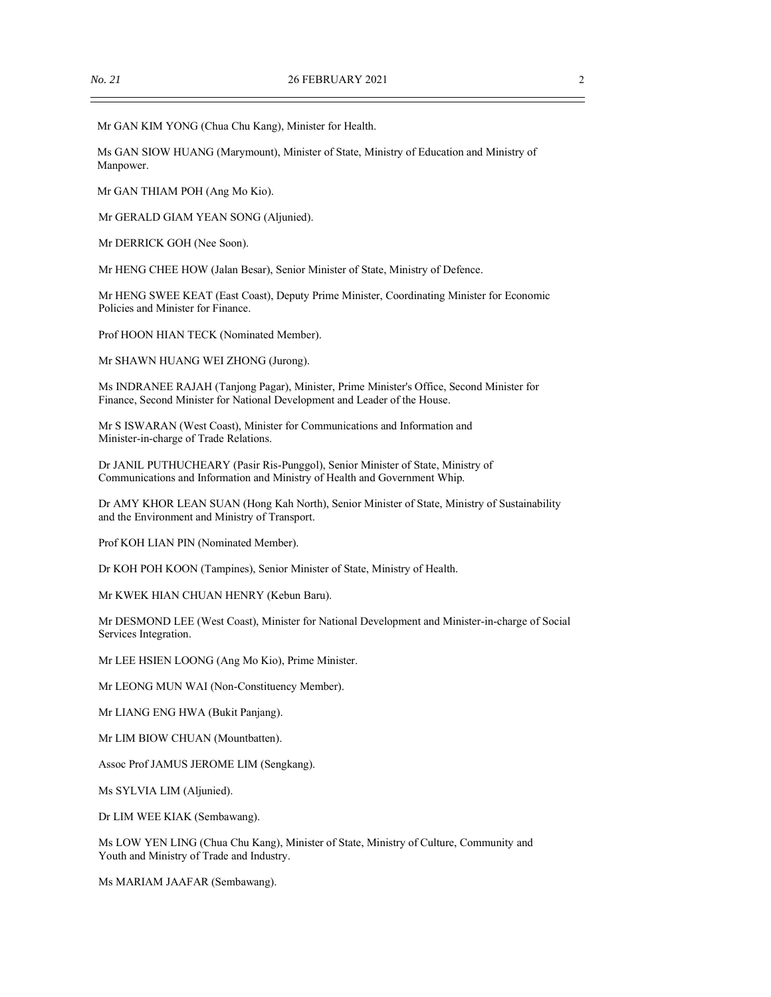Mr GAN KIM YONG (Chua Chu Kang), Minister for Health.

Ms GAN SIOW HUANG (Marymount), Minister of State, Ministry of Education and Ministry of Manpower.

Mr GAN THIAM POH (Ang Mo Kio).

Mr GERALD GIAM YEAN SONG (Aljunied).

Mr DERRICK GOH (Nee Soon).

Mr HENG CHEE HOW (Jalan Besar), Senior Minister of State, Ministry of Defence.

Mr HENG SWEE KEAT (East Coast), Deputy Prime Minister, Coordinating Minister for Economic Policies and Minister for Finance.

Prof HOON HIAN TECK (Nominated Member).

Mr SHAWN HUANG WEI ZHONG (Jurong).

Ms INDRANEE RAJAH (Tanjong Pagar), Minister, Prime Minister's Office, Second Minister for Finance, Second Minister for National Development and Leader of the House.

Mr S ISWARAN (West Coast), Minister for Communications and Information and Minister-in-charge of Trade Relations.

Dr JANIL PUTHUCHEARY (Pasir Ris-Punggol), Senior Minister of State, Ministry of Communications and Information and Ministry of Health and Government Whip.

Dr AMY KHOR LEAN SUAN (Hong Kah North), Senior Minister of State, Ministry of Sustainability and the Environment and Ministry of Transport.

Prof KOH LIAN PIN (Nominated Member).

Dr KOH POH KOON (Tampines), Senior Minister of State, Ministry of Health.

Mr KWEK HIAN CHUAN HENRY (Kebun Baru).

Mr DESMOND LEE (West Coast), Minister for National Development and Minister-in-charge of Social Services Integration.

Mr LEE HSIEN LOONG (Ang Mo Kio), Prime Minister.

Mr LEONG MUN WAI (Non-Constituency Member).

Mr LIANG ENG HWA (Bukit Panjang).

Mr LIM BIOW CHUAN (Mountbatten).

Assoc Prof JAMUS JEROME LIM (Sengkang).

Ms SYLVIA LIM (Aljunied).

Dr LIM WEE KIAK (Sembawang).

Ms LOW YEN LING (Chua Chu Kang), Minister of State, Ministry of Culture, Community and Youth and Ministry of Trade and Industry.

Ms MARIAM JAAFAR (Sembawang).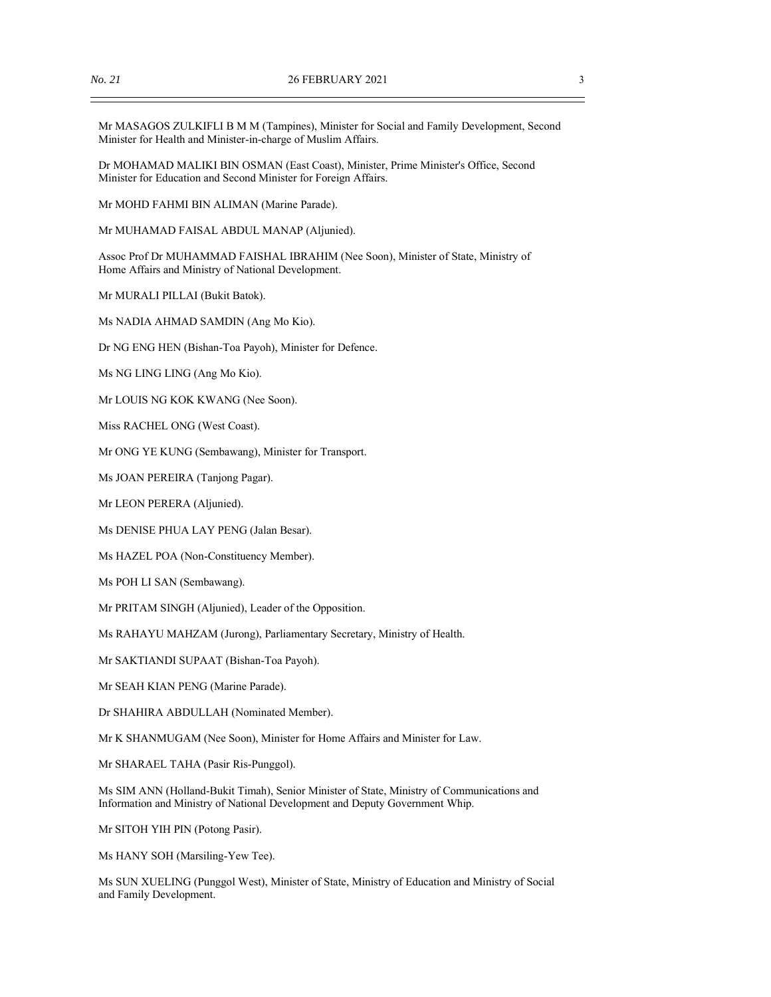Mr MASAGOS ZULKIFLI B M M (Tampines), Minister for Social and Family Development, Second Minister for Health and Minister-in-charge of Muslim Affairs.

Dr MOHAMAD MALIKI BIN OSMAN (East Coast), Minister, Prime Minister's Office, Second Minister for Education and Second Minister for Foreign Affairs.

Mr MOHD FAHMI BIN ALIMAN (Marine Parade).

Mr MUHAMAD FAISAL ABDUL MANAP (Aljunied).

Assoc Prof Dr MUHAMMAD FAISHAL IBRAHIM (Nee Soon), Minister of State, Ministry of Home Affairs and Ministry of National Development.

Mr MURALI PILLAI (Bukit Batok).

Ms NADIA AHMAD SAMDIN (Ang Mo Kio).

Dr NG ENG HEN (Bishan-Toa Payoh), Minister for Defence.

Ms NG LING LING (Ang Mo Kio).

Mr LOUIS NG KOK KWANG (Nee Soon).

Miss RACHEL ONG (West Coast).

Mr ONG YE KUNG (Sembawang), Minister for Transport.

Ms JOAN PEREIRA (Tanjong Pagar).

Mr LEON PERERA (Aljunied).

Ms DENISE PHUA LAY PENG (Jalan Besar).

Ms HAZEL POA (Non-Constituency Member).

Ms POH LI SAN (Sembawang).

Mr PRITAM SINGH (Aljunied), Leader of the Opposition.

Ms RAHAYU MAHZAM (Jurong), Parliamentary Secretary, Ministry of Health.

Mr SAKTIANDI SUPAAT (Bishan-Toa Payoh).

Mr SEAH KIAN PENG (Marine Parade).

Dr SHAHIRA ABDULLAH (Nominated Member).

Mr K SHANMUGAM (Nee Soon), Minister for Home Affairs and Minister for Law.

Mr SHARAEL TAHA (Pasir Ris-Punggol).

Ms SIM ANN (Holland-Bukit Timah), Senior Minister of State, Ministry of Communications and Information and Ministry of National Development and Deputy Government Whip.

Mr SITOH YIH PIN (Potong Pasir).

Ms HANY SOH (Marsiling-Yew Tee).

Ms SUN XUELING (Punggol West), Minister of State, Ministry of Education and Ministry of Social and Family Development.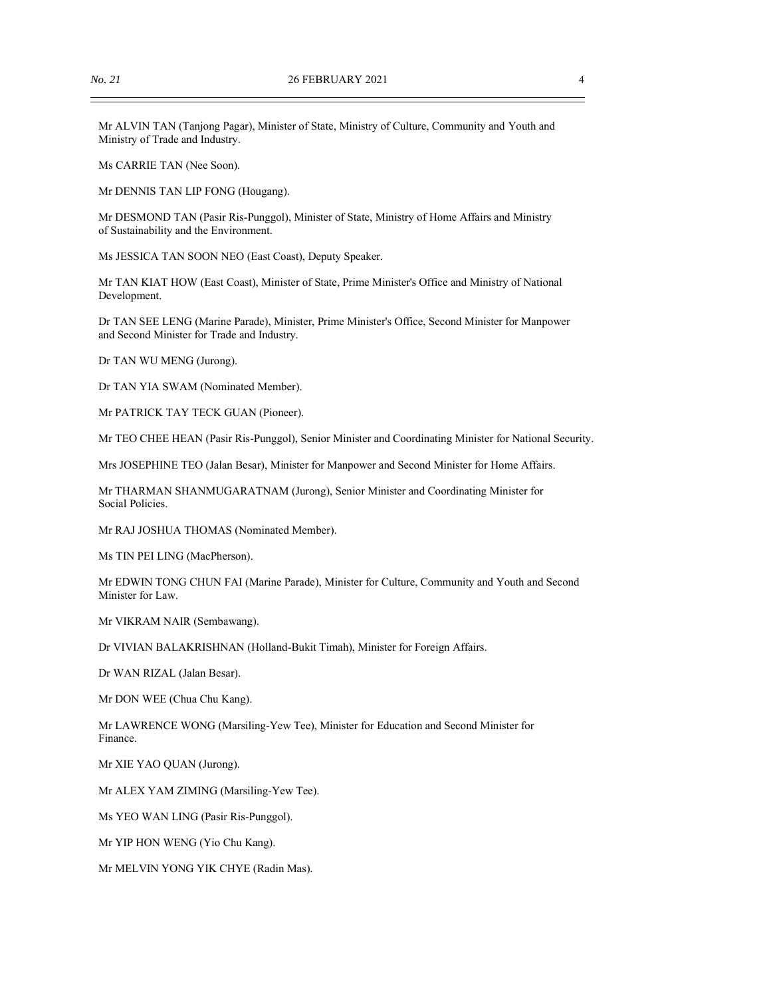Mr ALVIN TAN (Tanjong Pagar), Minister of State, Ministry of Culture, Community and Youth and Ministry of Trade and Industry.

Ms CARRIE TAN (Nee Soon).

Mr DENNIS TAN LIP FONG (Hougang).

Mr DESMOND TAN (Pasir Ris-Punggol), Minister of State, Ministry of Home Affairs and Ministry of Sustainability and the Environment.

Ms JESSICA TAN SOON NEO (East Coast), Deputy Speaker.

Mr TAN KIAT HOW (East Coast), Minister of State, Prime Minister's Office and Ministry of National Development.

Dr TAN SEE LENG (Marine Parade), Minister, Prime Minister's Office, Second Minister for Manpower and Second Minister for Trade and Industry.

Dr TAN WU MENG (Jurong).

Dr TAN YIA SWAM (Nominated Member).

Mr PATRICK TAY TECK GUAN (Pioneer).

Mr TEO CHEE HEAN (Pasir Ris-Punggol), Senior Minister and Coordinating Minister for National Security.

Mrs JOSEPHINE TEO (Jalan Besar), Minister for Manpower and Second Minister for Home Affairs.

Mr THARMAN SHANMUGARATNAM (Jurong), Senior Minister and Coordinating Minister for Social Policies.

Mr RAJ JOSHUA THOMAS (Nominated Member).

Ms TIN PEI LING (MacPherson).

Mr EDWIN TONG CHUN FAI (Marine Parade), Minister for Culture, Community and Youth and Second Minister for Law.

Mr VIKRAM NAIR (Sembawang).

Dr VIVIAN BALAKRISHNAN (Holland-Bukit Timah), Minister for Foreign Affairs.

Dr WAN RIZAL (Jalan Besar).

Mr DON WEE (Chua Chu Kang).

Mr LAWRENCE WONG (Marsiling-Yew Tee), Minister for Education and Second Minister for Finance.

Mr XIE YAO QUAN (Jurong).

Mr ALEX YAM ZIMING (Marsiling-Yew Tee).

Ms YEO WAN LING (Pasir Ris-Punggol).

Mr YIP HON WENG (Yio Chu Kang).

Mr MELVIN YONG YIK CHYE (Radin Mas).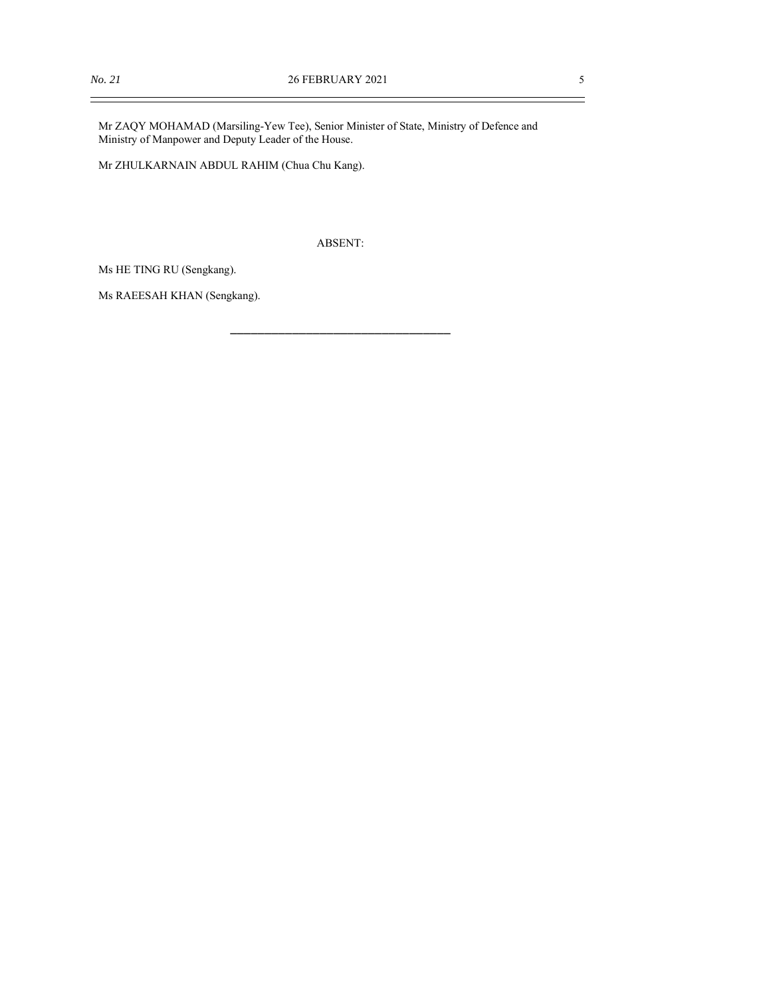$\equiv$ 

Mr ZAQY MOHAMAD (Marsiling-Yew Tee), Senior Minister of State, Ministry of Defence and Ministry of Manpower and Deputy Leader of the House.

Mr ZHULKARNAIN ABDUL RAHIM (Chua Chu Kang).

ABSENT:

\_\_\_\_\_\_\_\_\_\_\_\_\_\_\_\_\_\_\_\_\_\_\_\_\_\_\_\_\_\_\_\_

Ms HE TING RU (Sengkang).

Ms RAEESAH KHAN (Sengkang).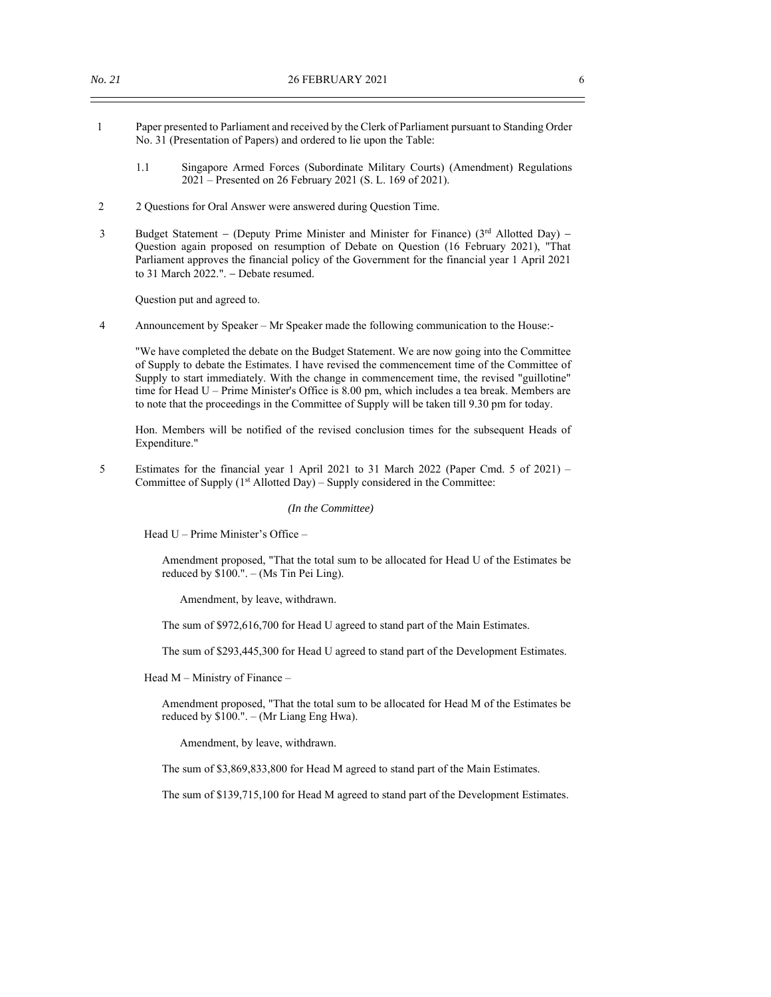- 1 Paper presented to Parliament and received by the Clerk of Parliament pursuant to Standing Order No. 31 (Presentation of Papers) and ordered to lie upon the Table:
	- 1.1 Singapore Armed Forces (Subordinate Military Courts) (Amendment) Regulations 2021 – Presented on 26 February 2021 (S. L. 169 of 2021).
- 2 2 Questions for Oral Answer were answered during Question Time.
- 3 Budget Statement (Deputy Prime Minister and Minister for Finance) ( $3<sup>rd</sup>$  Allotted Day) Question again proposed on resumption of Debate on Question (16 February 2021), "That Parliament approves the financial policy of the Government for the financial year 1 April 2021 to 31 March 2022.". - Debate resumed.

Question put and agreed to.

4 Announcement by Speaker – Mr Speaker made the following communication to the House:-

"We have completed the debate on the Budget Statement. We are now going into the Committee of Supply to debate the Estimates. I have revised the commencement time of the Committee of Supply to start immediately. With the change in commencement time, the revised "guillotine" time for Head U – Prime Minister's Office is 8.00 pm, which includes a tea break. Members are to note that the proceedings in the Committee of Supply will be taken till 9.30 pm for today.

Hon. Members will be notified of the revised conclusion times for the subsequent Heads of Expenditure."

5 Estimates for the financial year 1 April 2021 to 31 March 2022 (Paper Cmd. 5 of 2021) – Committee of Supply (1<sup>st</sup> Allotted Day) – Supply considered in the Committee:

### *(In the Committee)*

Head U – Prime Minister's Office –

Amendment proposed, "That the total sum to be allocated for Head U of the Estimates be reduced by  $$100." - (Ms Tin Pei Ling).$ 

Amendment, by leave, withdrawn.

The sum of \$972,616,700 for Head U agreed to stand part of the Main Estimates.

The sum of \$293,445,300 for Head U agreed to stand part of the Development Estimates.

Head M – Ministry of Finance –

Amendment proposed, "That the total sum to be allocated for Head M of the Estimates be reduced by \$100.". – (Mr Liang Eng Hwa).

Amendment, by leave, withdrawn.

The sum of \$3,869,833,800 for Head M agreed to stand part of the Main Estimates.

The sum of \$139,715,100 for Head M agreed to stand part of the Development Estimates.